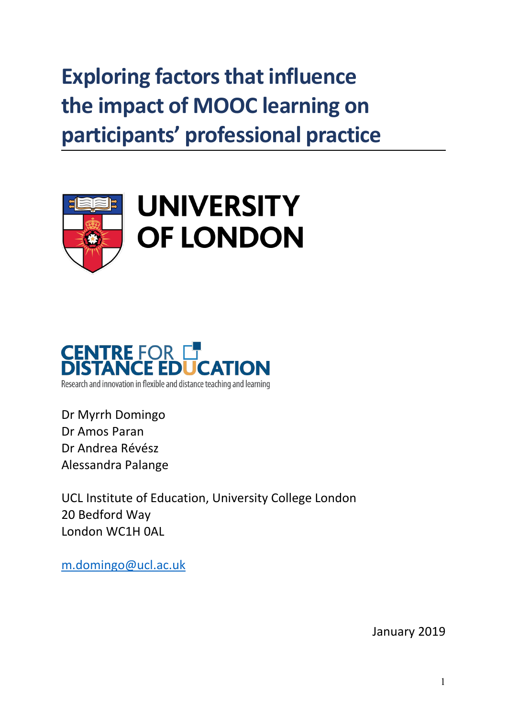# **Exploring factors that influence the impact of MOOC learning on participants' professional practice**





Dr Myrrh Domingo Dr Amos Paran Dr Andrea Révész Alessandra Palange

UCL Institute of Education, University College London 20 Bedford Way London WC1H 0AL

[m.domingo@ucl.ac.uk](mailto:m.domingo@ucl.ac.uk)

January 2019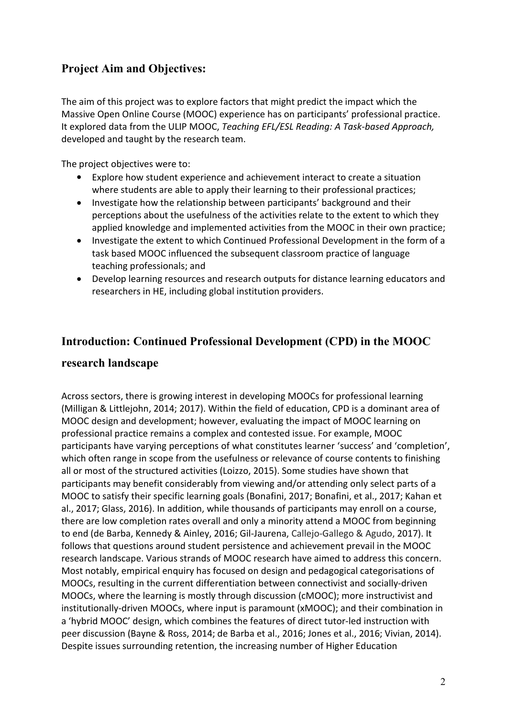# **Project Aim and Objectives:**

The aim of this project was to explore factors that might predict the impact which the Massive Open Online Course (MOOC) experience has on participants'professional practice. It explored data from the ULIP MOOC, *Teaching EFL/ESL Reading: A Task-based Approach,* developed and taught by the research team.

The project objectives were to:

- Explore how student experience and achievement interact to create a situation where students are able to apply their learning to their professional practices;
- Investigate how the relationship between participants' background and their perceptions about the usefulness of the activities relate to the extent to which they applied knowledge and implemented activities from the MOOC in their own practice;
- Investigate the extent to which Continued Professional Development in the form of a task based MOOC influenced the subsequent classroom practice of language teaching professionals; and
- Develop learning resources and research outputs for distance learning educators and researchers in HE, including global institution providers.

## **Introduction: Continued Professional Development (CPD) in the MOOC**

## **research landscape**

Across sectors, there is growing interest in developing MOOCs for professional learning (Milligan & Littlejohn,2014; 2017). Within the field of education, CPD is a dominant area of MOOC design and development; however, evaluating the impact of MOOC learning on professional practice remains a complex and contested issue. For example, MOOC participants have varying perceptions of what constitutes learner 'success' and 'completion', which often range in scope from the usefulness or relevance of course contents to finishing all or most of the structured activities (Loizzo, 2015). Some studies have shown that participants may benefit considerably from viewing and/or attending only select parts of a MOOC to satisfy their specific learning goals (Bonafini, 2017; Bonafini, et al., 2017; Kahan et al., 2017; Glass, 2016). In addition, while thousands of participants may enroll on a course, there are low completion rates overall and only a minority attend a MOOC from beginning to end (de Barba, Kennedy & Ainley,2016; Gil-Jaurena, Callejo-Gallego & Agudo, 2017). It follows that questions around student persistence and achievement prevail in the MOOC research landscape. Various strands of MOOC research have aimed to address this concern. Most notably, empirical enquiry has focused on design and pedagogical categorisations of MOOCs, resulting in the current differentiation between connectivist and socially-driven MOOCs, where the learning is mostly through discussion (cMOOC); more instructivist and institutionally-driven MOOCs, where input is paramount (xMOOC); and their combination in a 'hybrid MOOC' design, which combines the features of direct tutor-led instruction with peer discussion (Bayne & Ross, 2014; de Barba et al., 2016; Jones etal., 2016; Vivian, 2014). Despite issues surrounding retention, the increasing number of Higher Education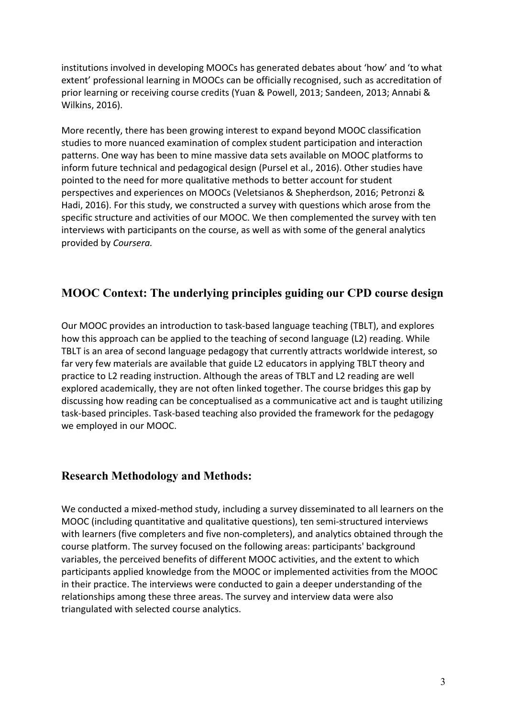institutions involved in developing MOOCs has generated debates about 'how' and 'to what extent' professional learning in MOOCs can be officially recognised, such as accreditation of prior learning or receiving course credits (Yuan & Powell, 2013; Sandeen, 2013; Annabi & Wilkins, 2016).

More recently, there has been growing interest to expand beyond MOOC classification studies to more nuanced examination of complex student participation and interaction patterns. One way has been to mine massive data sets available on MOOC platforms to inform future technical and pedagogical design (Pursel et al., 2016). Other studies have pointed to the need for more qualitative methods to better account for student perspectives and experiences on MOOCs (Veletsianos & Shepherdson, 2016; Petronzi & Hadi, 2016). For this study, we constructed a survey with questions which arose from the specific structure and activities of our MOOC. We then complemented the survey with ten interviews with participants on the course, as well as with some of the general analytics provided by *Coursera.*

## **MOOC Context: The underlying principles guiding our CPD course design**

Our MOOC provides an introduction to task-based language teaching (TBLT), and explores how this approach can be applied to the teaching of second language (L2) reading. While TBLT is an area of second language pedagogy that currently attracts worldwide interest, so far very few materials are available that guide L2 educators in applying TBLT theory and practice to L2 reading instruction. Although the areas of TBLT and L2 reading are well explored academically, they are not often linked together. The course bridges this gap by discussing how reading can be conceptualised as a communicative act and is taught utilizing task-based principles. Task-based teaching also provided the framework for the pedagogy we employed in our MOOC.

## **Research Methodology and Methods:**

We conducted a mixed-method study, including a survey disseminated to all learners on the MOOC (including quantitative and qualitative questions), ten semi-structured interviews with learners (five completers and five non-completers), and analytics obtained through the course platform. The survey focused on the following areas: participants' background variables, the perceived benefits of different MOOC activities, and the extent to which participants applied knowledge from the MOOC or implemented activities from the MOOC in their practice. The interviews were conducted to gain a deeper understanding of the relationships among these three areas. The survey and interview data were also triangulated with selected course analytics.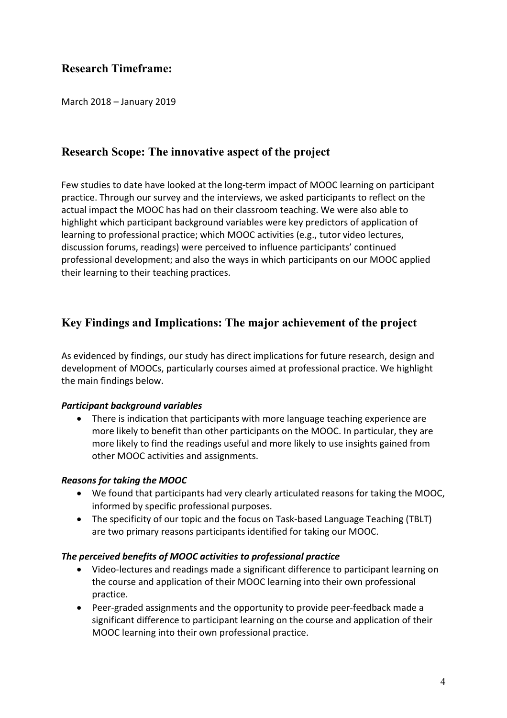## **Research Timeframe:**

March 2018 – January 2019

## **Research Scope: The innovative aspect of the project**

Few studies to date have looked at the long-term impact of MOOC learning on participant practice. Through our survey and the interviews, we asked participants to reflect on the actual impact the MOOC has had on their classroom teaching. We were also able to highlight which participant background variables were key predictors of application of learning to professional practice; which MOOC activities (e.g., tutor video lectures, discussion forums, readings) were perceived to influence participants' continued professional development; and also the ways in which participants on our MOOC applied their learning to their teaching practices.

## **Key Findings and Implications: The major achievement of the project**

As evidenced by findings, our study has direct implications for future research, design and development of MOOCs, particularly courses aimed at professional practice. We highlight the main findings below.

### *Participant background variables*

 There is indication that participants with more language teaching experience are more likely to benefit than other participants on the MOOC. In particular, they are more likely to find the readings useful and more likely to use insights gained from other MOOC activities and assignments.

#### *Reasons for taking the MOOC*

- We found that participants had very clearly articulated reasons for taking the MOOC, informed by specific professional purposes.
- The specificity of our topic and the focus on Task-based Language Teaching (TBLT) are two primary reasons participants identified for taking our MOOC.

#### *The perceived benefits of MOOC activities to professional practice*

- Video-lectures and readings made a significant difference to participant learning on the course and application of their MOOC learning into their own professional practice.
- Peer-graded assignments and the opportunity to provide peer-feedback made a significant difference to participant learning on the course and application of their MOOC learning into their own professional practice.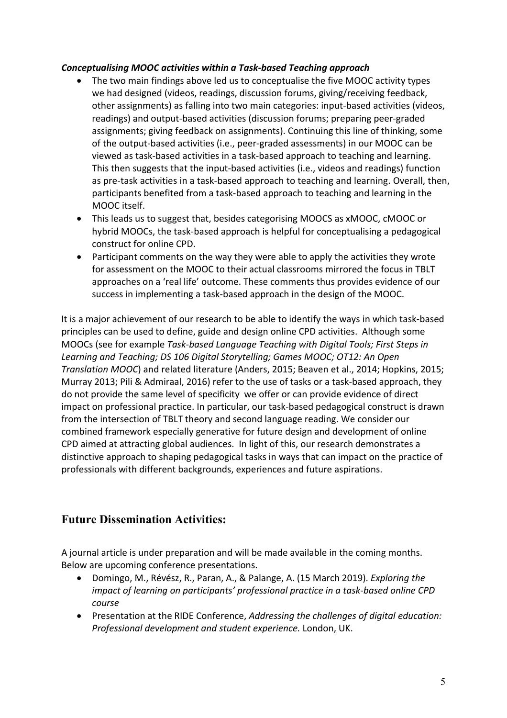### *Conceptualising MOOC activities within a Task-based Teaching approach*

- The two main findings above led us to conceptualise the five MOOC activity types we had designed (videos, readings, discussion forums, giving/receiving feedback, other assignments) as falling into two main categories: input-based activities (videos, readings) and output-based activities (discussion forums; preparing peer-graded assignments; giving feedback on assignments). Continuing this line of thinking, some of the output-based activities (i.e., peer-graded assessments) in our MOOC can be viewed as task-based activities in a task-based approach to teaching and learning. This then suggests that the input-based activities (i.e., videos and readings) function as pre-task activities in a task-based approach to teaching and learning. Overall, then, participants benefited from a task-based approach to teaching and learning in the MOOC itself.
- This leads us to suggest that, besides categorising MOOCS as xMOOC, cMOOC or hybrid MOOCs, the task-based approach is helpful for conceptualising a pedagogical construct for online CPD.
- Participant comments on the way they were able to apply the activities they wrote for assessment on the MOOC to their actual classrooms mirrored the focus in TBLT approaches on a 'real life' outcome. These comments thus provides evidence of our success in implementing a task-based approach in the design of the MOOC.

It is a major achievement of our research to be able to identify the ways in which task-based principles can be used to define, guide and design online CPD activities. Although some MOOCs (see for example *Task-based Language Teaching with Digital Tools; First Steps in Learning and Teaching; DS 106 Digital Storytelling; Games MOOC; OT12: An Open Translation MOOC*) and related literature (Anders, 2015; Beaven et al., 2014; Hopkins, 2015; Murray 2013; Pili & Admiraal, 2016) refer to the use of tasks or a task-based approach, they do not provide the same level of specificity we offer or can provide evidence of direct impact on professional practice. In particular, our task-based pedagogical construct is drawn from the intersection of TBLT theory and second language reading. We consider our combined framework especially generative for future design and development of online CPD aimed at attracting global audiences. In light of this, our research demonstrates a distinctive approach to shaping pedagogical tasks in ways that can impact on the practice of professionals with different backgrounds, experiences and future aspirations.

## **Future Dissemination Activities:**

A journal article is under preparation and will be made available in the coming months. Below are upcoming conference presentations.

- Domingo, M., Révész, R., Paran, A., & Palange, A. (15 March 2019). *Exploring the impact of learning on participants' professional practice in a task-based online CPD course*
- Presentation at the RIDE Conference, *Addressing the challenges of digital education: Professional development and student experience.* London, UK.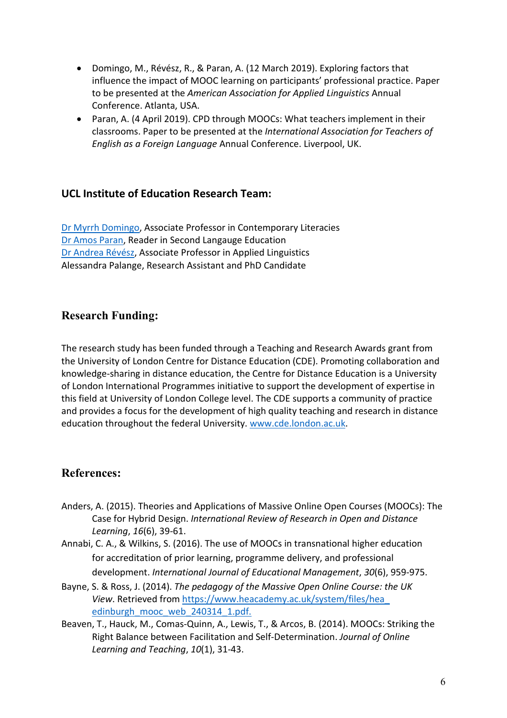- Domingo, M., Révész, R., & Paran, A. (12 March 2019). Exploring factors that influence the impact of MOOC learning on participants'professional practice. Paper to be presented at the *American Association for Applied Linguistics* Annual Conference. Atlanta, USA.
- Paran, A. (4 April 2019). CPD through MOOCs: What teachers implement in their classrooms. Paper to be presented at the *International Association for Teachers of English as a Foreign Language* Annual Conference. Liverpool, UK.

## **UCL Institute of Education Research Team:**

Dr Myrrh [Domingo,](http://iris.ucl.ac.uk/iris/browse/profile?upi=MDOMI40) Associate Professor in Contemporary Literacies Dr Amos [Paran,](http://iris.ucl.ac.uk/iris/browse/profile?upi=APARA68) Reader in Second Langauge Education Dr [Andrea](http://iris.ucl.ac.uk/iris/browse/profile?upi=AREVE24) Révész, Associate Professor in Applied Linguistics Alessandra Palange, Research Assistant and PhD Candidate

## **Research Funding:**

The research study has been funded through a Teaching and Research Awards grant from the University of London Centre for Distance Education (CDE). Promoting collaboration and knowledge-sharing in distance education, the Centre for Distance Education is a University of London International Programmes initiative to support the development of expertise in this field at University of London College level. The CDE supports a community of practice and provides a focus for the development of high quality teaching and research in distance education throughout the federal University. [www.cde.london.ac.uk](http://www.cde.london.ac.uk).

## **References:**

- Anders, A. (2015). Theories and Applications of Massive Online Open Courses (MOOCs): The Case for Hybrid Design. *International Review of Research in Open and Distance Learning*, *16*(6), 39-61.
- Annabi, C. A., & Wilkins, S. (2016). The use of MOOCs in transnational higher education for accreditation of prior learning, programme delivery, and professional development. *International Journal of Educational Management*, *30*(6), 959-975.
- Bayne, S. & Ross, J. (2014). *The pedagogy of the Massive Open Online Course: the UK View*. Retrieved from [https://www.heacademy.ac.uk/system/files/hea\\_](https://www.heacademy.ac.uk/system/files/hea_) [edinburgh\\_mooc\\_web\\_240314\\_1.pdf.](https://www.heacademy.ac.uk/system/files/hea_edinburgh_mooc_web_240314_1.pdf)
- Beaven, T., Hauck, M., Comas-Quinn, A., Lewis, T., & Arcos, B. (2014). MOOCs: Striking the Right Balance between Facilitation and Self-Determination. *Journal of Online Learning and Teaching*, *10*(1), 31-43.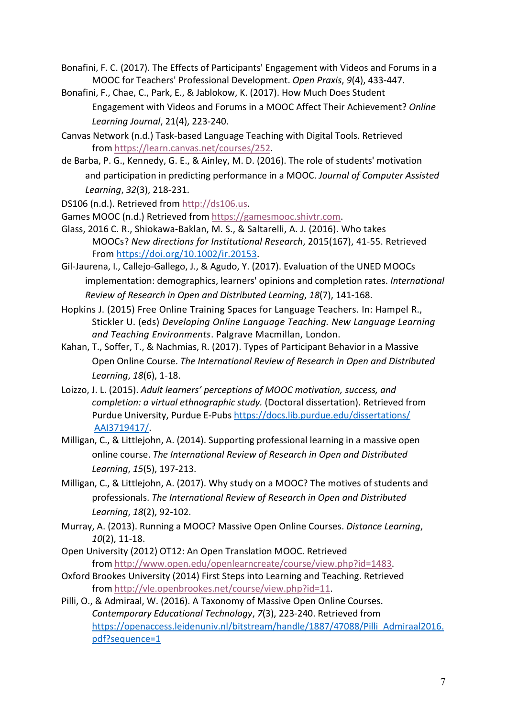Bonafini, F. C. (2017). The Effects of Participants' Engagement with Videos and Forums in a MOOC for Teachers' Professional Development. *Open Praxis*, *9*(4),433-447.

- Bonafini, F., Chae, C., Park, E., & Jablokow, K. (2017). How Much Does Student Engagement with Videos and Forums in a MOOC Affect Their Achievement? *Online Learning Journal*, 21(4), 223-240.
- Canvas Network (n.d.) Task-based Language Teaching with Digital Tools. Retrieved from <https://learn.canvas.net/courses/252>.
- de Barba, P. G., Kennedy, G. E., & Ainley, M. D. (2016). The role of students' motivation and participation in predicting performance in a MOOC. *Journal of Computer Assisted Learning*, *32*(3), 218-231.
- DS106 (n.d.). Retrieved from <http://ds106.us>.

Games MOOC (n.d.) Retrieved from [https://gamesmooc.shivtr.com.](https://gamesmooc.shivtr.com)

- Glass, 2016 C. R., Shiokawa-Baklan, M. S., & Saltarelli, A. J. (2016). Who takes MOOCs? *New directions for Institutional Research*, 2015(167), 41-55. Retrieved From [https://doi.org/10.1002/ir.20153.](https://doi.org/10.1002/ir.20153)
- Gil-Jaurena, I., Callejo-Gallego, J., & Agudo, Y. (2017). Evaluation of the UNED MOOCs implementation: demographics, learners' opinions and completion rates. *International Review of Research in Open and Distributed Learning*, *18*(7), 141-168.
- Hopkins J. (2015) Free Online Training Spaces for Language Teachers. In: Hampel R., Stickler U. (eds) *Developing Online Language Teaching.New Language Learning and Teaching Environments*. Palgrave Macmillan, London.
- Kahan, T., Soffer, T., & Nachmias, R. (2017). Types of Participant Behavior in a Massive Open Online Course. *The International Review of Research in Open and Distributed Learning*, *18*(6), 1-18.
- Loizzo, J. L. (2015). *Adult learners' perceptions of MOOC motivation, success, and completion: a virtual ethnographic study.* (Doctoral dissertation). Retrieved from Purdue University, Purdue E-Pubs <https://docs.lib.purdue.edu/dissertations/> [AAI3719417/.](https://docs.lib.purdue.edu/dissertations/AAI3719417/)
- Milligan, C., & Littlejohn, A. (2014). Supporting professional learning in a massive open online course. *The International Review of Research in Open and Distributed Learning*, *15*(5), 197-213.
- Milligan, C., & Littlejohn, A. (2017). Why study on a MOOC? The motives of students and professionals. *The International Review of Research in Open and Distributed Learning*, *18*(2), 92-102.
- Murray, A. (2013). Running a MOOC? Massive Open Online Courses. *Distance Learning*, *10*(2), 11-18.
- Open University (2012) OT12: An Open Translation MOOC. Retrieved from [http://www.open.edu/openlearncreate/course/view.php?id=1483.](http://www.open.edu/openlearncreate/course/view.php?id=1483)
- Oxford Brookes University (2014) First Steps into Learning and Teaching. Retrieved from [http://vle.openbrookes.net/course/view.php?id=11.](http://vle.openbrookes.net/course/view.php?id=11)
- Pilli, O., & Admiraal, W. (2016). A Taxonomy of Massive Open Online Courses. *Contemporary Educational Technology*, *7*(3), 223-240. Retrieved from [https://openaccess.leidenuniv.nl/bitstream/handle/1887/47088/Pilli\\_Admiraal2016.](https://openaccess.leidenuniv.nl/bitstream/handle/1887/47088/Pilli_Admiraal2016.pdf?sequence=1) pdf?sequence=1